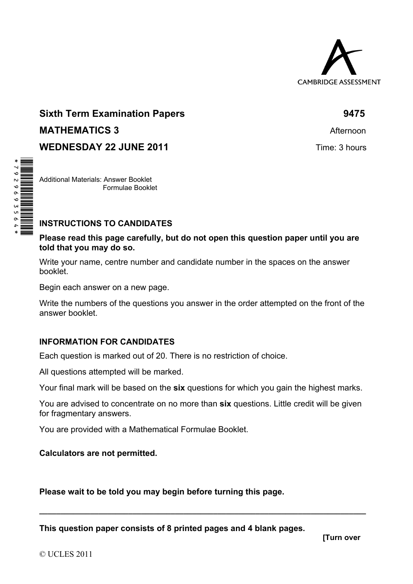

# **Sixth Term Examination Papers 6475 <b>9475 MATHEMATICS 3** Afternoon **WEDNESDAY 22 JUNE 2011 Time: 3 hours**

Additional Materials: Answer Booklet Formulae Booklet

## **INSTRUCTIONS TO CANDIDATES**

**Please read this page carefully, but do not open this question paper until you are told that you may do so.** 

Write your name, centre number and candidate number in the spaces on the answer booklet.

Begin each answer on a new page.

Write the numbers of the questions you answer in the order attempted on the front of the answer booklet.

## **INFORMATION FOR CANDIDATES**

Each question is marked out of 20. There is no restriction of choice.

All questions attempted will be marked.

Your final mark will be based on the **six** questions for which you gain the highest marks.

You are advised to concentrate on no more than **six** questions. Little credit will be given for fragmentary answers.

**\_\_\_\_\_\_\_\_\_\_\_\_\_\_\_\_\_\_\_\_\_\_\_\_\_\_\_\_\_\_\_\_\_\_\_\_\_\_\_\_\_\_\_\_\_\_\_\_\_\_\_\_\_\_\_\_\_\_\_\_\_\_\_\_\_\_\_\_\_\_\_\_\_\_\_\_\_** 

You are provided with a Mathematical Formulae Booklet.

## **Calculators are not permitted.**

**Please wait to be told you may begin before turning this page.** 

**This question paper consists of 8 printed pages and 4 blank pages.**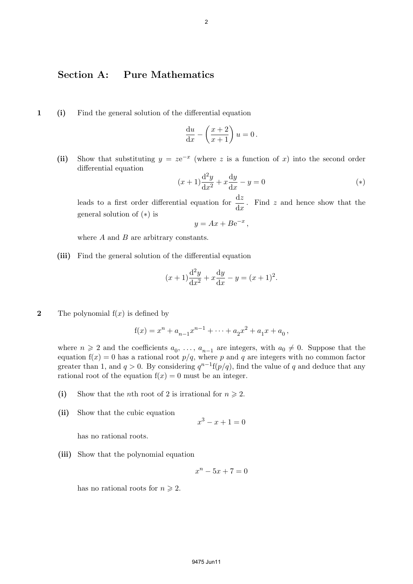#### **Section A: Pure Mathematics**

**1 (i)** Find the general solution of the differential equation

$$
\frac{\mathrm{d}u}{\mathrm{d}x} - \left(\frac{x+2}{x+1}\right)u = 0.
$$

(ii) Show that substituting  $y = ze^{-x}$  (where *z* is a function of *x*) into the second order differential equation

$$
(x+1)\frac{\mathrm{d}^2 y}{\mathrm{d}x^2} + x\frac{\mathrm{d}y}{\mathrm{d}x} - y = 0\tag{*}
$$

leads to a first order differential equation for  $\frac{dz}{dx}$ . Find *z* and hence show that the general solution of (*∗*) is

$$
y = Ax + Be^{-x},
$$

where *A* and *B* are arbitrary constants.

**(iii)** Find the general solution of the differential equation

$$
(x+1)\frac{d^2y}{dx^2} + x\frac{dy}{dx} - y = (x+1)^2.
$$

**2** The polynomial f(*x*) is defined by

$$
f(x) = xn + an-1xn-1 + \dots + a_2x2 + a_1x + a_0
$$
,

where  $n \geq 2$  and the coefficients  $a_0, \ldots, a_{n-1}$  are integers, with  $a_0 \neq 0$ . Suppose that the equation  $f(x) = 0$  has a rational root  $p/q$ , where p and q are integers with no common factor greater than 1, and  $q > 0$ . By considering  $q^{n-1}f(p/q)$ , find the value of q and deduce that any rational root of the equation  $f(x) = 0$  must be an integer.

- (i) Show that the *n*th root of 2 is irrational for  $n \ge 2$ .
- **(ii)** Show that the cubic equation

$$
x^3 - x + 1 = 0
$$

has no rational roots.

**(iii)** Show that the polynomial equation

$$
x^n - 5x + 7 = 0
$$

has no rational roots for  $n \geqslant 2$ .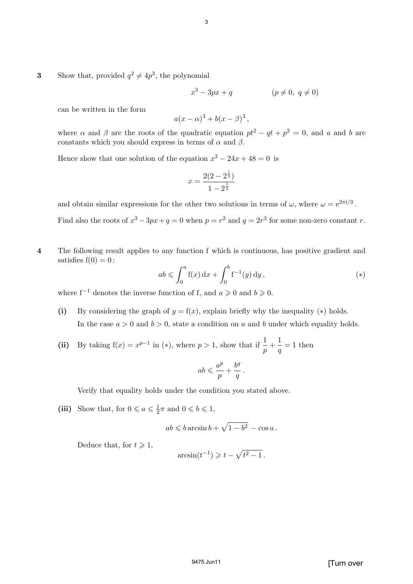**3** Show that, provided  $q^2 \neq 4p^3$ , the polynomial

$$
x^3 - 3px + q \qquad (p \neq 0, q \neq 0)
$$

can be written in the form

$$
a(x-\alpha)^3 + b(x-\beta)^3,
$$

where  $\alpha$  and  $\beta$  are the roots of the quadratic equation  $pt^2 - qt + p^2 = 0$ , and  $a$  and  $b$  are constants which you should express in terms of  $\alpha$  and  $\beta$ .

Hence show that one solution of the equation  $x^3 - 24x + 48 = 0$  is

$$
x = \frac{2(2 - 2^{\frac{1}{3}})}{1 - 2^{\frac{1}{3}}}
$$

and obtain similar expressions for the other two solutions in terms of  $\omega$ , where  $\omega = e^{2\pi i/3}$ . Find also the roots of  $x^3 - 3px + q = 0$  when  $p = r^2$  and  $q = 2r^3$  for some non-zero constant *r*.

**4** The following result applies to any function f which is continuous, has positive gradient and satisfies  $f(0) = 0$ :

$$
ab \leq \int_0^a f(x) \, dx + \int_0^b f^{-1}(y) \, dy, \tag{*}
$$

where  $f^{-1}$  denotes the inverse function of f, and  $a \ge 0$  and  $b \ge 0$ .

- (i) By considering the graph of  $y = f(x)$ , explain briefly why the inequality  $(*)$  holds. In the case  $a > 0$  and  $b > 0$ , state a condition on a and b under which equality holds.
- (ii) By taking  $f(x) = x^{p-1}$  in (\*), where  $p > 1$ , show that if  $\frac{1}{p} + \frac{1}{q}$  $\frac{1}{q} = 1$  then

$$
ab\leqslant \frac{a^p}{p}+\frac{b^q}{q}\,.
$$

Verify that equality holds under the condition you stated above.

(iii) Show that, for  $0 \leq a \leq \frac{1}{2}$  $\frac{1}{2}\pi$  and  $0 \leqslant b \leqslant 1$ ,

$$
ab \leqslant b \arcsin b + \sqrt{1 - b^2} - \cos a \, .
$$

Deduce that, for  $t \geq 1$ ,

$$
\arcsin(t^{-1}) \geqslant t - \sqrt{t^2 - 1} \, .
$$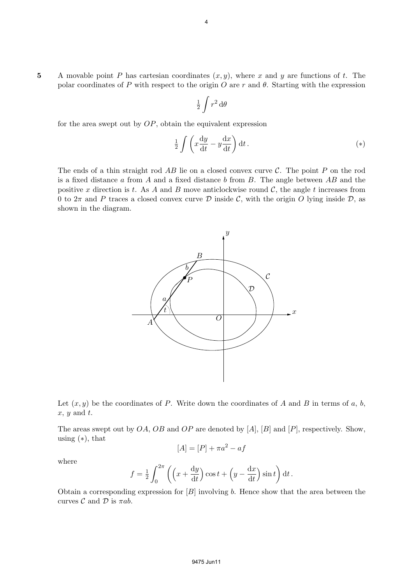**5** A movable point *P* has cartesian coordinates (*x, y*), where *x* and *y* are functions of *t*. The polar coordinates of  $P$  with respect to the origin  $O$  are  $r$  and  $\theta$ . Starting with the expression

$$
\tfrac{1}{2}\int r^2\,\mathrm{d}\theta
$$

for the area swept out by *OP*, obtain the equivalent expression

$$
\frac{1}{2} \int \left( x \frac{\mathrm{d}y}{\mathrm{d}t} - y \frac{\mathrm{d}x}{\mathrm{d}t} \right) \mathrm{d}t \,. \tag{*}
$$

The ends of a thin straight rod *AB* lie on a closed convex curve *C*. The point *P* on the rod is a fixed distance *a* from *A* and a fixed distance *b* from *B*. The angle between *AB* and the positive x direction is t. As A and B move anticlockwise round  $\mathcal{C}$ , the angle t increases from 0 to  $2\pi$  and *P* traces a closed convex curve *D* inside *C*, with the origin *O* lying inside *D*, as shown in the diagram.



Let  $(x, y)$  be the coordinates of *P*. Write down the coordinates of *A* and *B* in terms of *a*, *b*, *x*, *y* and *t*.

The areas swept out by *OA*, *OB* and *OP* are denoted by [*A*], [*B*] and [*P*], respectively. Show, using (*∗*), that

$$
[A] = [P] + \pi a^2 - af
$$

where

$$
f = \frac{1}{2} \int_0^{2\pi} \left( \left( x + \frac{dy}{dt} \right) \cos t + \left( y - \frac{dx}{dt} \right) \sin t \right) dt.
$$

Obtain a corresponding expression for [*B*] involving *b*. Hence show that the area between the curves  $\mathcal C$  and  $\mathcal D$  is  $\pi ab$ .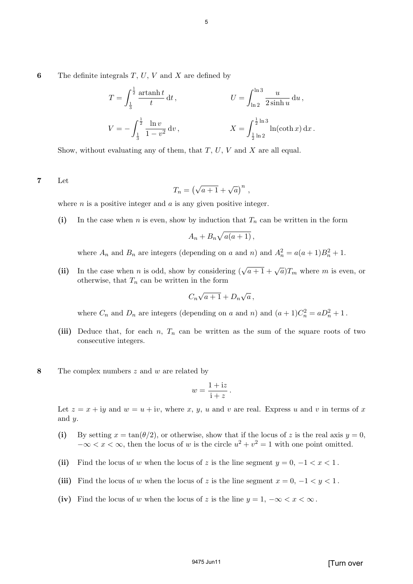**6** The definite integrals *T*, *U*, *V* and *X* are defined by

$$
T = \int_{\frac{1}{3}}^{\frac{1}{2}} \frac{\operatorname{artanh} t}{t} dt, \qquad U = \int_{\ln 2}^{\ln 3} \frac{u}{2 \sinh u} du,
$$
  

$$
V = -\int_{\frac{1}{3}}^{\frac{1}{2}} \frac{\ln v}{1 - v^2} dv, \qquad X = \int_{\frac{1}{2} \ln 2}^{\frac{1}{2} \ln 3} \ln(\coth x) dx.
$$

Show, without evaluating any of them, that *T*, *U*, *V* and *X* are all equal.

#### **7** Let

$$
T_n = \left(\sqrt{a+1} + \sqrt{a}\right)^n,
$$

where *n* is a positive integer and *a* is any given positive integer.

**(i)** In the case when *n* is even, show by induction that  $T_n$  can be written in the form

$$
A_n + B_n \sqrt{a(a+1)},
$$

where  $A_n$  and  $B_n$  are integers (depending on *a* and *n*) and  $A_n^2 = a(a+1)B_n^2 + 1$ .

(ii) In the case when *n* is odd, show by considering  $(\sqrt{a+1} + \sqrt{a})T_m$  where *m* is even, or otherwise, that  $T_n$  can be written in the form

$$
C_n\sqrt{a+1}+D_n\sqrt{a}\,
$$

where  $C_n$  and  $D_n$  are integers (depending on *a* and *n*) and  $(a+1)C_n^2 = aD_n^2 + 1$ .

- **(iii)** Deduce that, for each *n*, *T<sup>n</sup>* can be written as the sum of the square roots of two consecutive integers.
- **8** The complex numbers *z* and *w* are related by

$$
w = \frac{1 + iz}{i + z}.
$$

Let  $z = x + iy$  and  $w = u + iv$ , where *x*, *y*, *u* and *v* are real. Express *u* and *v* in terms of *x* and *y*.

- **(i)** By setting  $x = \tan(\theta/2)$ , or otherwise, show that if the locus of *z* is the real axis  $y = 0$ ,  $-\infty < x < \infty$ , then the locus of *w* is the circle  $u^2 + v^2 = 1$  with one point omitted.
- (ii) Find the locus of *w* when the locus of *z* is the line segment  $y = 0, -1 < x < 1$ .
- (iii) Find the locus of *w* when the locus of *z* is the line segment  $x = 0, -1 < y < 1$ .
- (iv) Find the locus of *w* when the locus of *z* is the line  $y = 1, -\infty < x < \infty$ .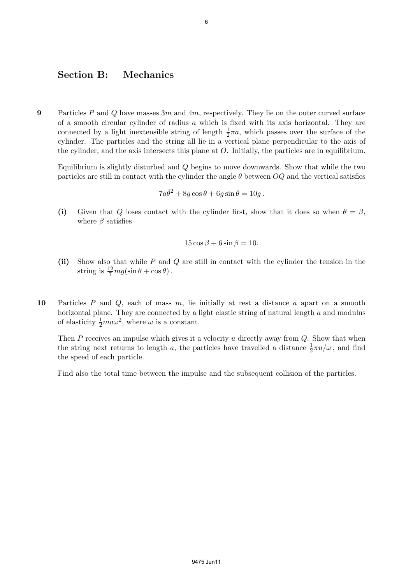#### **Section B: Mechanics**

**9** Particles *P* and *Q* have masses 3*m* and 4*m*, respectively. They lie on the outer curved surface of a smooth circular cylinder of radius *a* which is fixed with its axis horizontal. They are connected by a light inextensible string of length  $\frac{1}{2}\pi a$ , which passes over the surface of the cylinder. The particles and the string all lie in a vertical plane perpendicular to the axis of the cylinder, and the axis intersects this plane at *O*. Initially, the particles are in equilibrium.

Equilibrium is slightly disturbed and *Q* begins to move downwards. Show that while the two particles are still in contact with the cylinder the angle *θ* between *OQ* and the vertical satisfies

$$
7a\dot{\theta}^2 + 8g\cos\theta + 6g\sin\theta = 10g.
$$

**(i)** Given that *Q* loses contact with the cylinder first, show that it does so when  $\theta = \beta$ , where *β* satisfies

$$
15\cos\beta + 6\sin\beta = 10.
$$

- **(ii)** Show also that while *P* and *Q* are still in contact with the cylinder the tension in the string is  $\frac{12}{7}mg(\sin\theta + \cos\theta)$ .
- **10** Particles *P* and *Q*, each of mass *m*, lie initially at rest a distance *a* apart on a smooth horizontal plane. They are connected by a light elastic string of natural length *a* and modulus of elasticity  $\frac{1}{2}m a \omega^2$ , where  $\omega$  is a constant.

Then *P* receives an impulse which gives it a velocity *u* directly away from *Q*. Show that when the string next returns to length *a*, the particles have travelled a distance  $\frac{1}{2}\pi u/\omega$ , and find the speed of each particle.

Find also the total time between the impulse and the subsequent collision of the particles.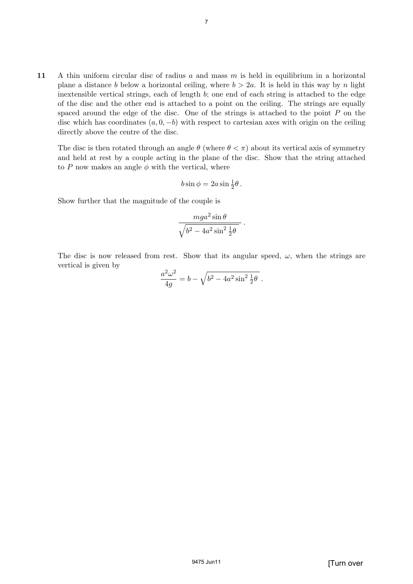**11** A thin uniform circular disc of radius *a* and mass *m* is held in equilibrium in a horizontal plane a distance *b* below a horizontal ceiling, where  $b > 2a$ . It is held in this way by *n* light inextensible vertical strings, each of length *b*; one end of each string is attached to the edge of the disc and the other end is attached to a point on the ceiling. The strings are equally spaced around the edge of the disc. One of the strings is attached to the point *P* on the disc which has coordinates  $(a, 0, -b)$  with respect to cartesian axes with origin on the ceiling directly above the centre of the disc.

The disc is then rotated through an angle  $\theta$  (where  $\theta < \pi$ ) about its vertical axis of symmetry and held at rest by a couple acting in the plane of the disc. Show that the string attached to *P* now makes an angle  $\phi$  with the vertical, where

$$
b\sin\phi = 2a\sin\frac{1}{2}\theta.
$$

Show further that the magnitude of the couple is

$$
\frac{mga^2\sin\theta}{\sqrt{b^2-4a^2\sin^2\frac{1}{2}\theta}}
$$

*.*

The disc is now released from rest. Show that its angular speed,  $\omega$ , when the strings are vertical is given by

$$
\frac{a^2\omega^2}{4g} = b - \sqrt{b^2 - 4a^2\sin^2\frac{1}{2}\theta}.
$$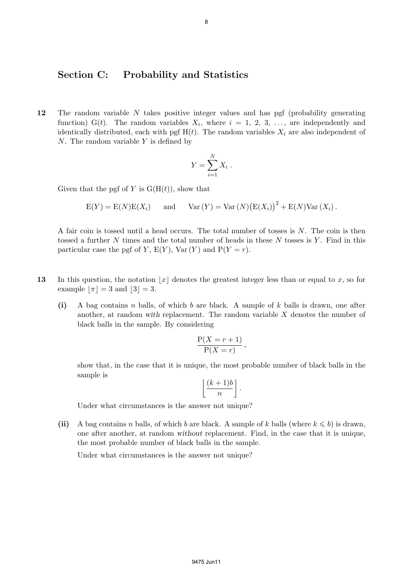#### **Section C: Probability and Statistics**

**12** The random variable *N* takes positive integer values and has pgf (probability generating function) G(*t*). The random variables  $X_i$ , where  $i = 1, 2, 3, \ldots$ , are independently and identically distributed, each with pgf  $H(t)$ . The random variables  $X_i$  are also independent of *N*. The random variable *Y* is defined by

$$
Y = \sum_{i=1}^{N} X_i \ .
$$

Given that the pgf of *Y* is  $G(H(t))$ , show that

 $E(Y) = E(N)E(X_i)$  and  $Var(Y) = Var(N)(E(X_i))^2 + E(N)Var(X_i)$ .

A fair coin is tossed until a head occurs. The total number of tosses is *N*. The coin is then tossed a further *N* times and the total number of heads in these *N* tosses is *Y* . Find in this particular case the pgf of *Y*,  $E(Y)$ ,  $Var(Y)$  and  $P(Y = r)$ .

- **13** In this question, the notation  $|x|$  denotes the greatest integer less than or equal to *x*, so for example  $|\pi| = 3$  and  $|3| = 3$ .
	- **(i)** A bag contains *n* balls, of which *b* are black. A sample of *k* balls is drawn, one after another, at random *with* replacement. The random variable *X* denotes the number of black balls in the sample. By considering

$$
\frac{P(X=r+1)}{P(X=r)},
$$

show that, in the case that it is unique, the most probable number of black balls in the sample is

$$
\left\lfloor\frac{(k+1)b}{n}\right\rfloor.
$$

Under what circumstances is the answer not unique?

(ii) A bag contains *n* balls, of which *b* are black. A sample of *k* balls (where  $k \leq b$ ) is drawn, one after another, at random *without* replacement. Find, in the case that it is unique, the most probable number of black balls in the sample.

Under what circumstances is the answer not unique?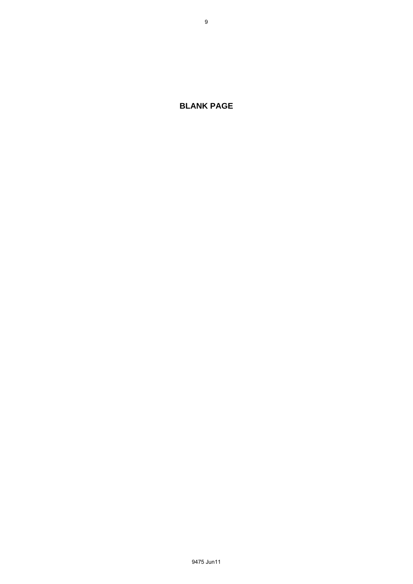**BLANK PAGE** 

9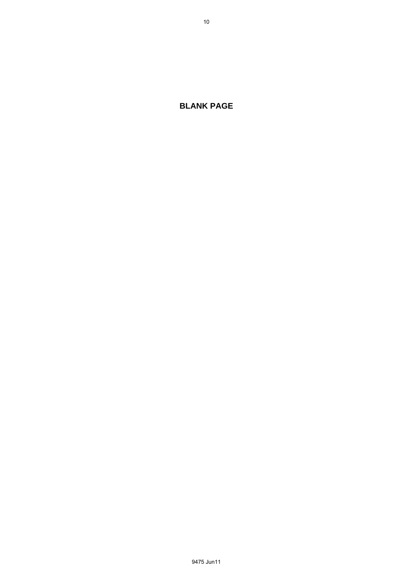#### 9475 Jun11

**BLANK PAGE**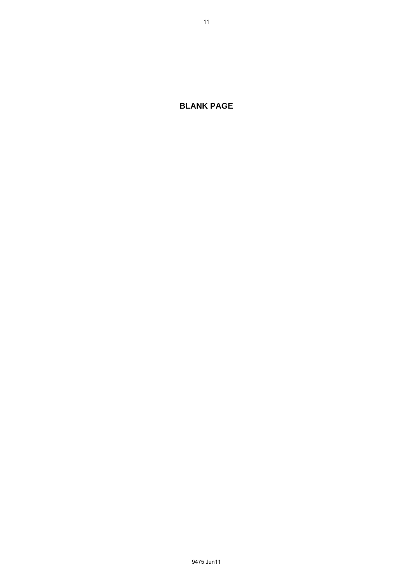**BLANK PAGE** 

11